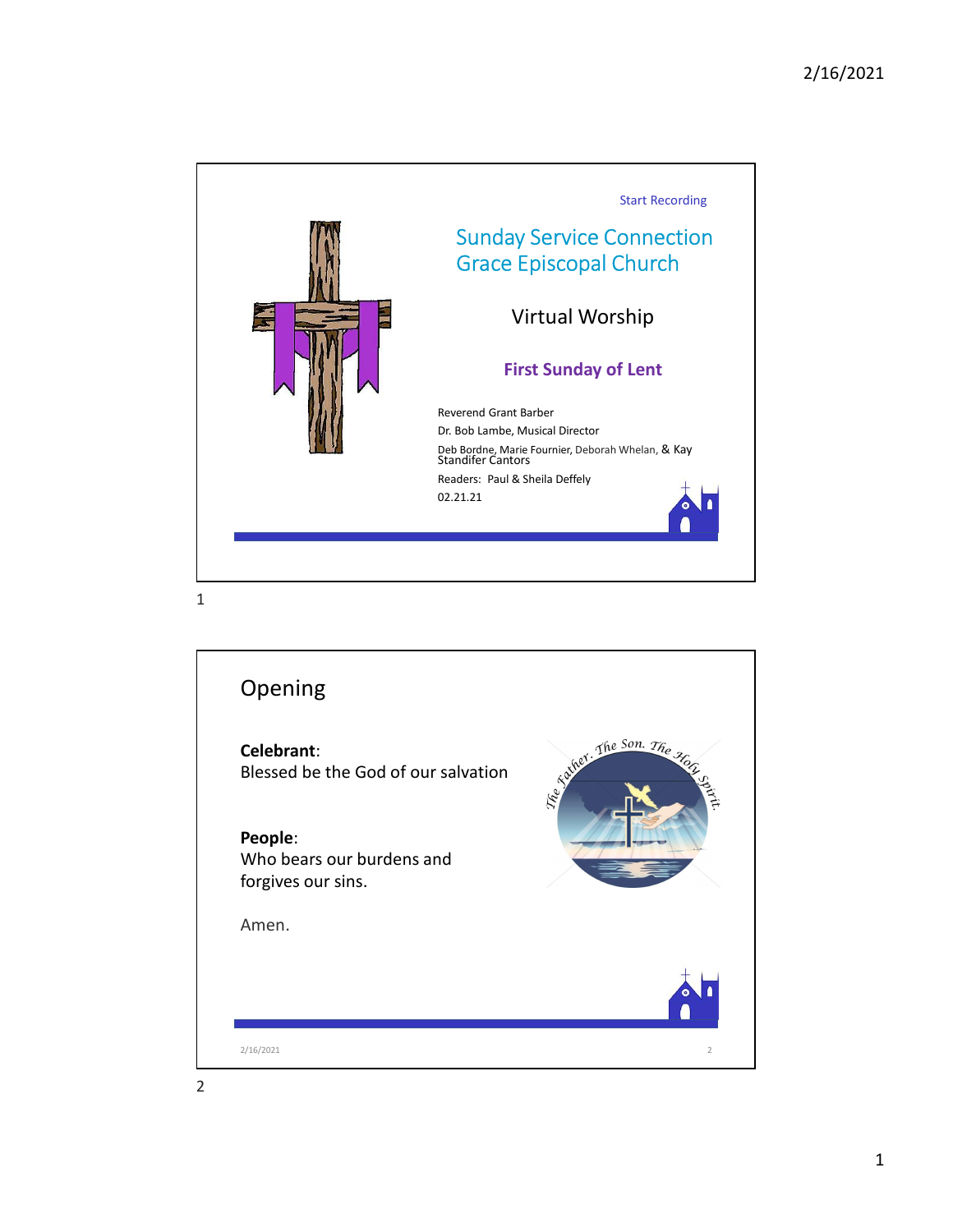

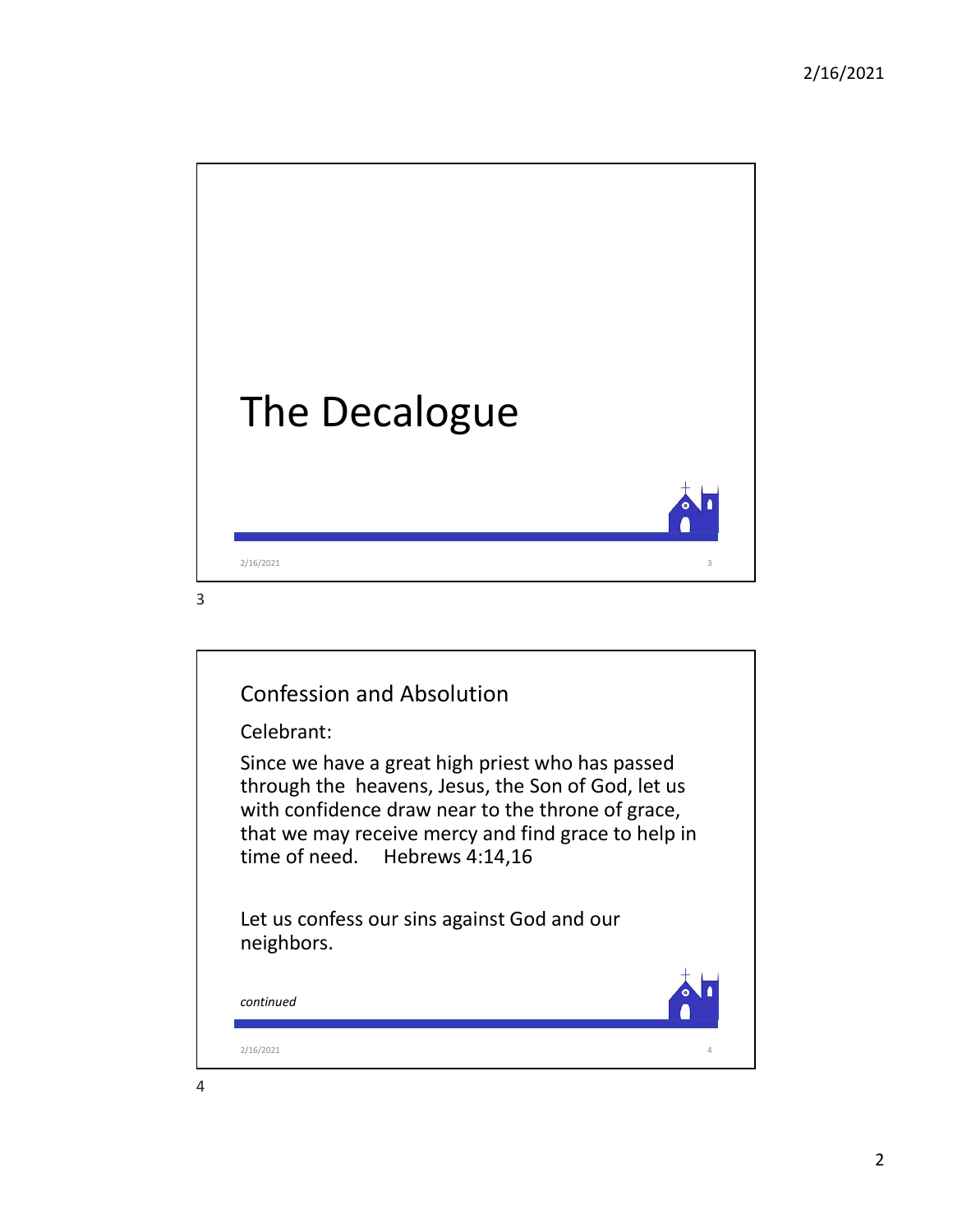

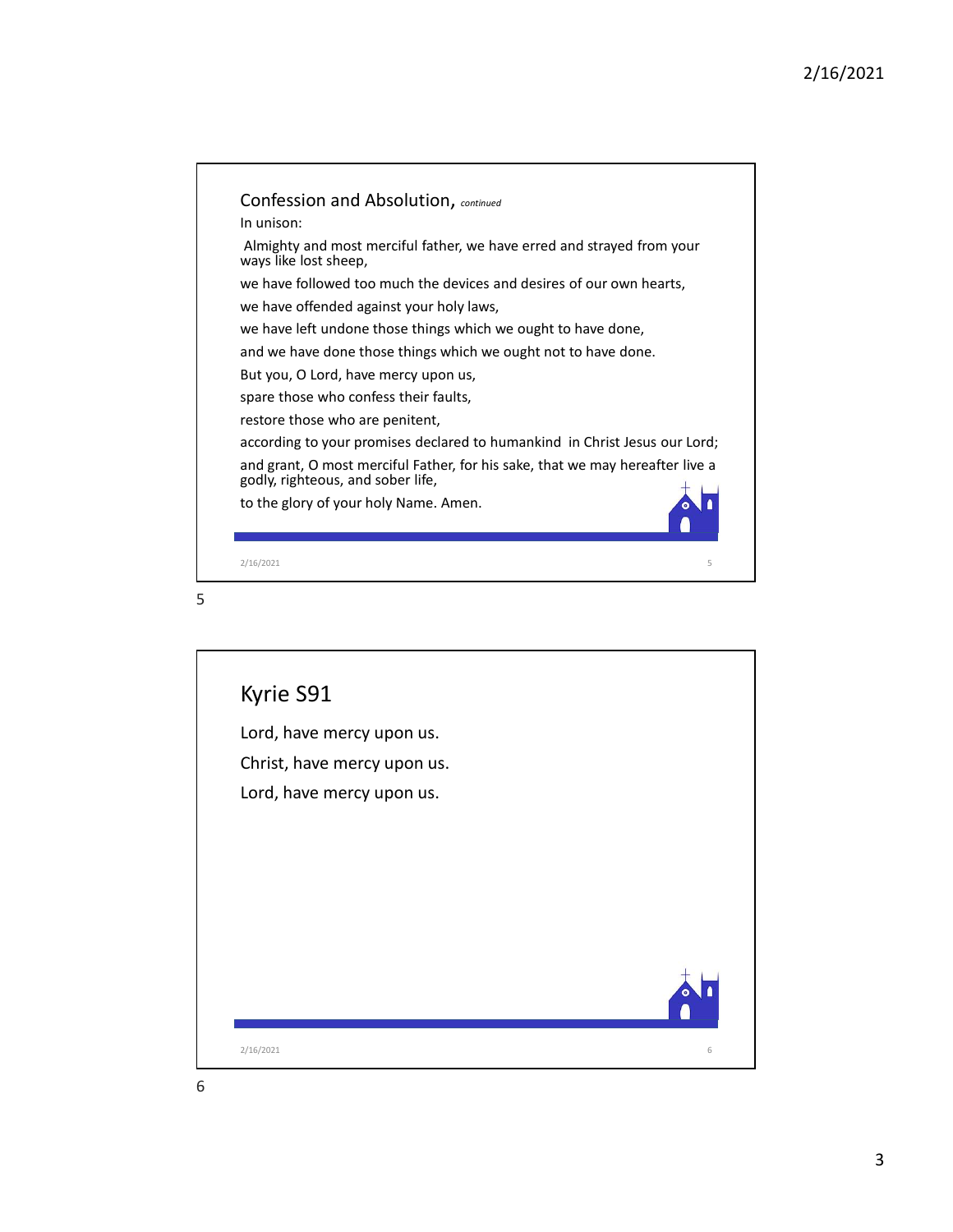

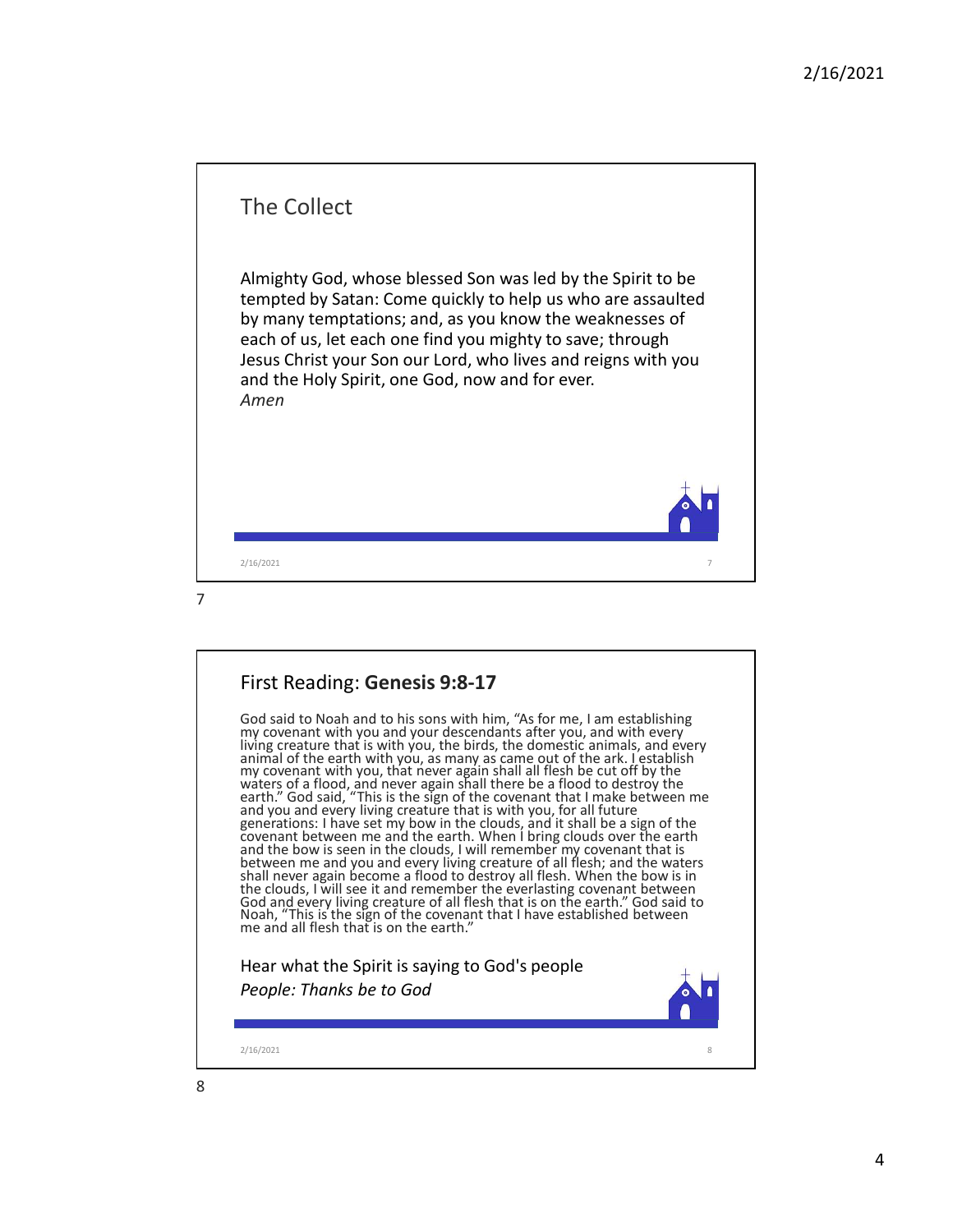

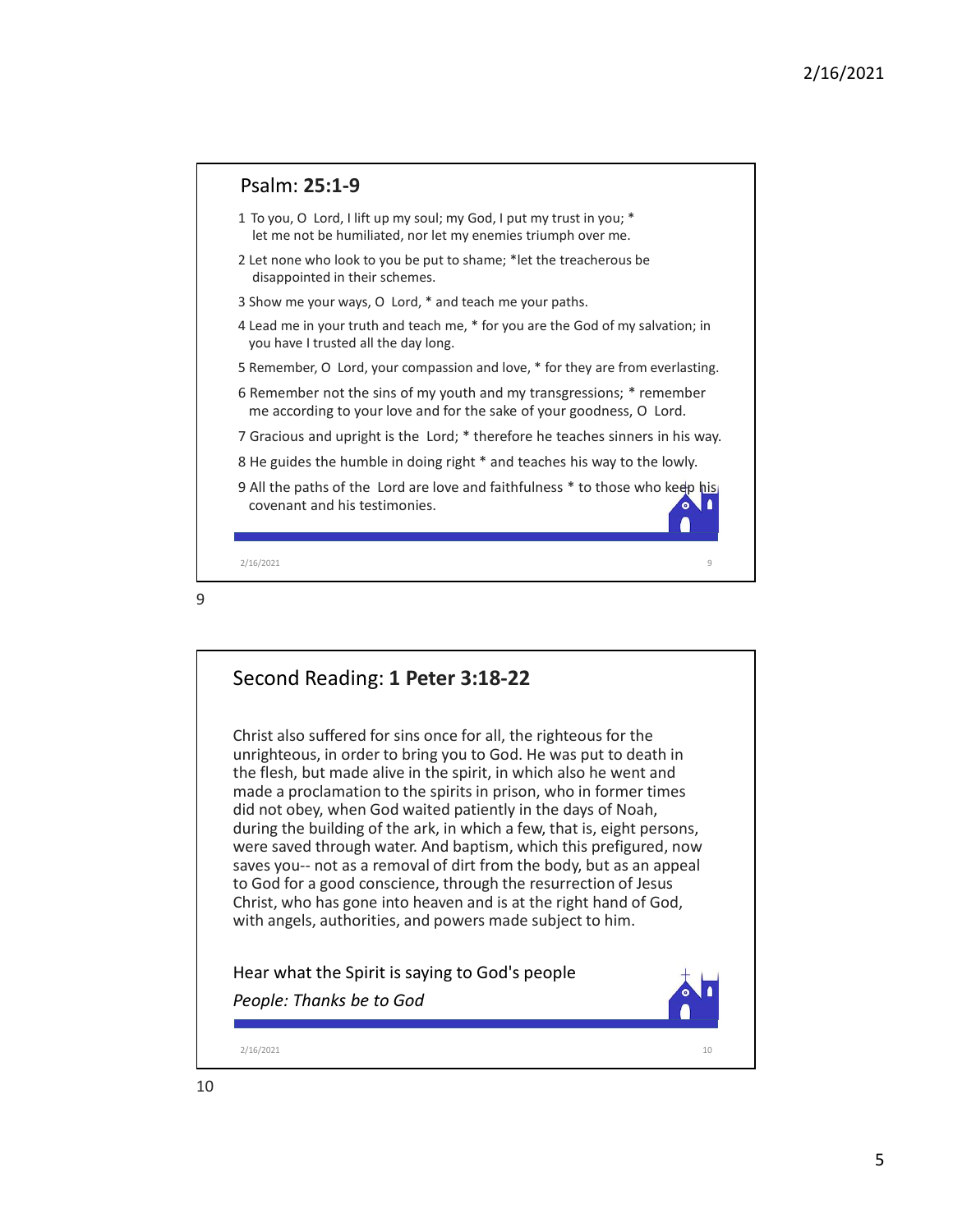

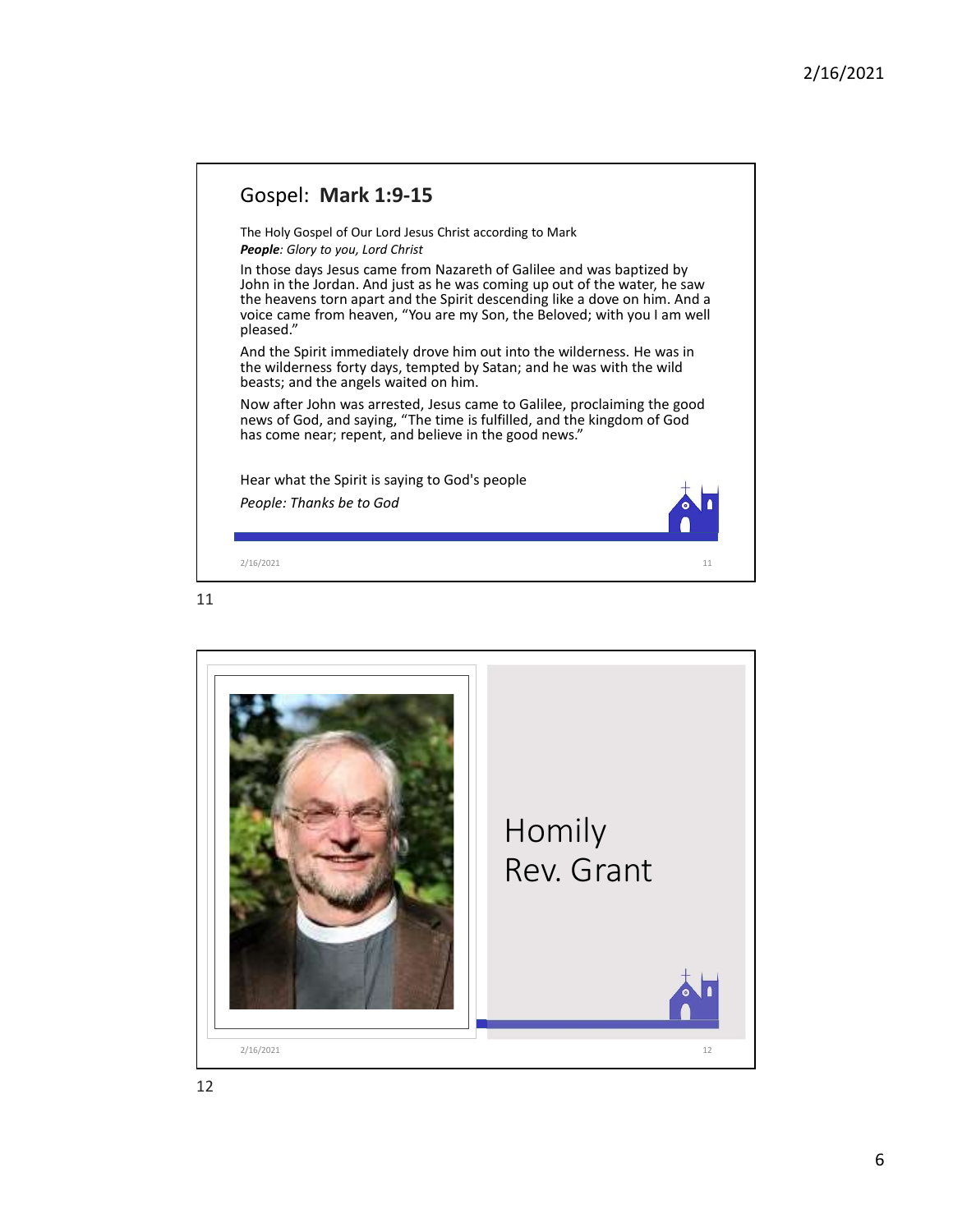

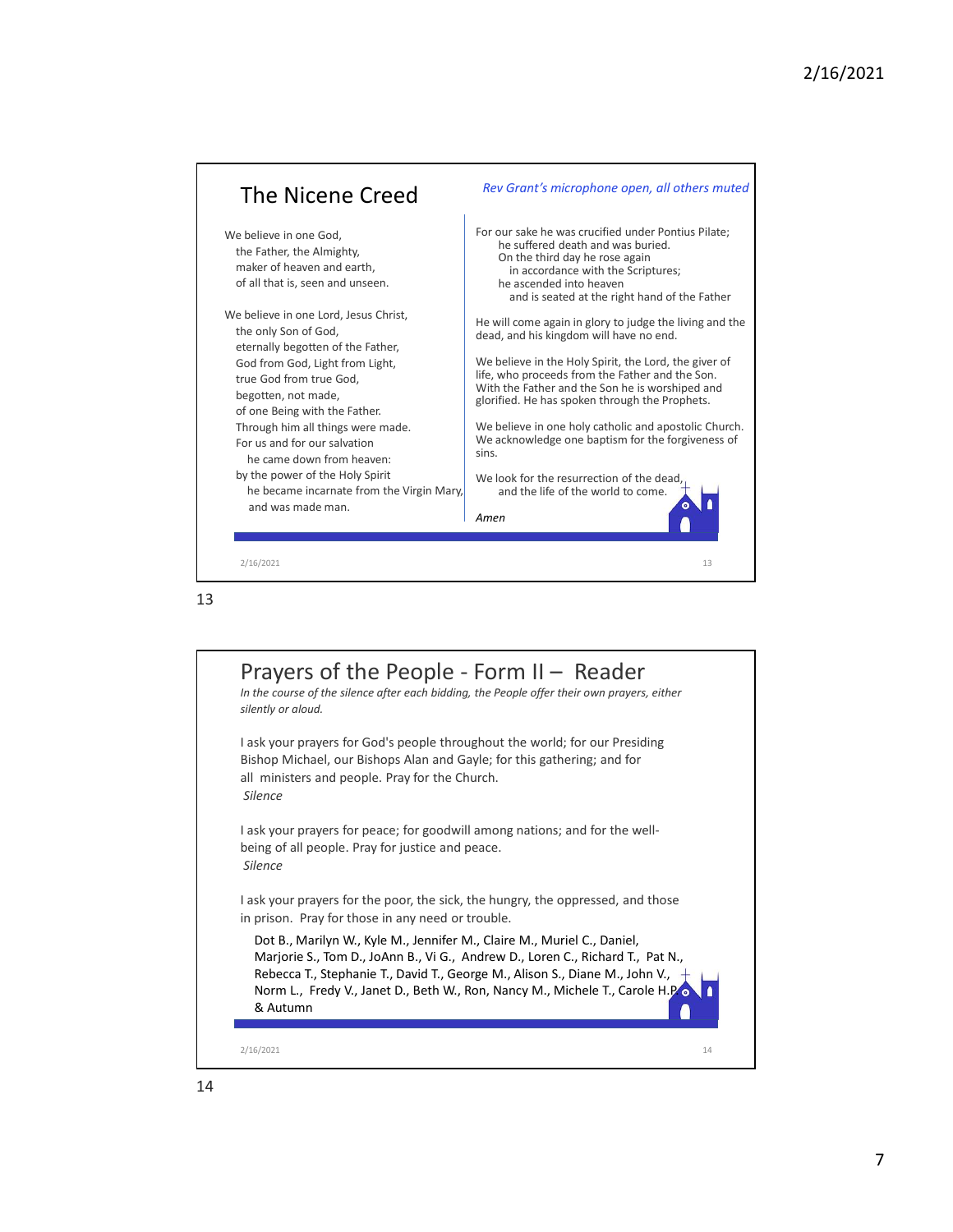

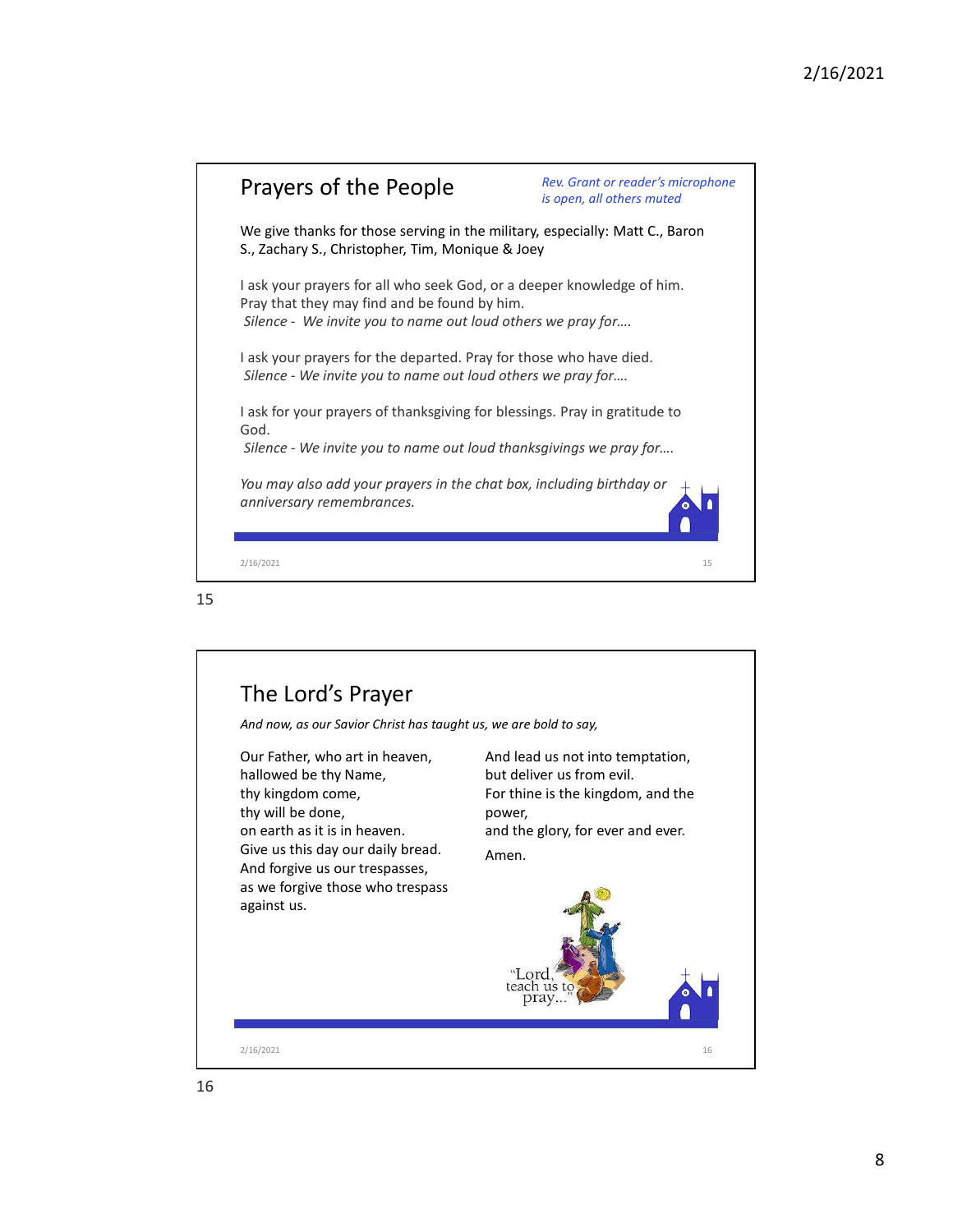